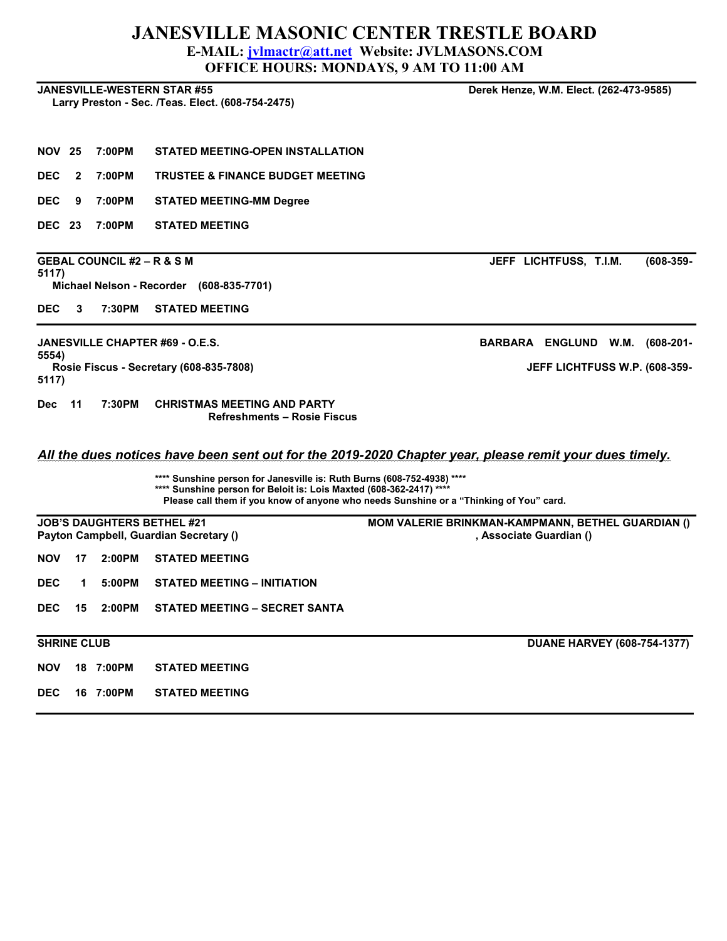## JANESVILLE MASONIC CENTER TRESTLE BOARD E-MAIL: jvlmactr@att.net Website: JVLMASONS.COM OFFICE HOURS: MONDAYS, 9 AM TO 11:00 AM

|                    |                                       |                                                                                                                                               | <b>OFFICE HOURS: MONDAYS, 9 AM TO 11:00 AM</b>                                                         |  |  |  |
|--------------------|---------------------------------------|-----------------------------------------------------------------------------------------------------------------------------------------------|--------------------------------------------------------------------------------------------------------|--|--|--|
|                    |                                       | <b>JANESVILLE-WESTERN STAR #55</b><br>Larry Preston - Sec. /Teas. Elect. (608-754-2475)                                                       | Derek Henze, W.M. Elect. (262-473-9585)                                                                |  |  |  |
|                    |                                       |                                                                                                                                               |                                                                                                        |  |  |  |
| <b>NOV 25</b>      | 7:00PM                                | STATED MEETING-OPEN INSTALLATION                                                                                                              |                                                                                                        |  |  |  |
| DEC<br>2           | 7:00PM                                | <b>TRUSTEE &amp; FINANCE BUDGET MEETING</b>                                                                                                   |                                                                                                        |  |  |  |
| DEC<br>9           | 7:00PM                                | <b>STATED MEETING-MM Degree</b>                                                                                                               |                                                                                                        |  |  |  |
| DEC.<br>23         | 7:00PM                                | <b>STATED MEETING</b>                                                                                                                         |                                                                                                        |  |  |  |
| 5117)              | <b>GEBAL COUNCIL #2 – R &amp; S M</b> |                                                                                                                                               | JEFF LICHTFUSS, T.I.M.<br>$(608 - 359 -$                                                               |  |  |  |
|                    |                                       | Michael Nelson - Recorder (608-835-7701)                                                                                                      |                                                                                                        |  |  |  |
| DEC<br>3           | 7:30PM                                | <b>STATED MEETING</b>                                                                                                                         |                                                                                                        |  |  |  |
|                    |                                       | JANESVILLE CHAPTER #69 - O.E.S.                                                                                                               | BARBARA ENGLUND W.M.<br>$(608-201 -$                                                                   |  |  |  |
| 5554)<br>5117)     |                                       | Rosie Fiscus - Secretary (608-835-7808)                                                                                                       | JEFF LICHTFUSS W.P. (608-359-                                                                          |  |  |  |
| 11<br>Dec.         | 7:30PM                                | <b>CHRISTMAS MEETING AND PARTY</b><br><b>Refreshments - Rosie Fiscus</b>                                                                      |                                                                                                        |  |  |  |
|                    |                                       |                                                                                                                                               | All the dues notices have been sent out for the 2019-2020 Chapter year, please remit your dues timely. |  |  |  |
|                    |                                       | **** Sunshine person for Janesville is: Ruth Burns (608-752-4938) ****<br>**** Sunshine person for Beloit is: Lois Maxted (608-362-2417) **** | Please call them if you know of anyone who needs Sunshine or a "Thinking of You" card.                 |  |  |  |
|                    |                                       | <b>JOB'S DAUGHTERS BETHEL #21</b>                                                                                                             | MOM VALERIE BRINKMAN-KAMPMANN, BETHEL GUARDIAN ()                                                      |  |  |  |
|                    |                                       | Payton Campbell, Guardian Secretary ()                                                                                                        | , Associate Guardian ()                                                                                |  |  |  |
| NOV<br>17          | 2:00PM                                | <b>STATED MEETING</b>                                                                                                                         |                                                                                                        |  |  |  |
| DEC<br>1.          | 5:00PM                                | STATED MEETING - INITIATION                                                                                                                   |                                                                                                        |  |  |  |
| <b>DEC</b><br>15   | 2:00PM                                | <b>STATED MEETING - SECRET SANTA</b>                                                                                                          |                                                                                                        |  |  |  |
| <b>SHRINE CLUB</b> |                                       |                                                                                                                                               | <b>DUANE HARVEY (608-754-1377)</b>                                                                     |  |  |  |
| <b>NOV</b>         | 18 7:00PM                             | <b>STATED MEETING</b>                                                                                                                         |                                                                                                        |  |  |  |
| <b>DEC</b>         | 16 7:00PM                             | <b>STATED MEETING</b>                                                                                                                         |                                                                                                        |  |  |  |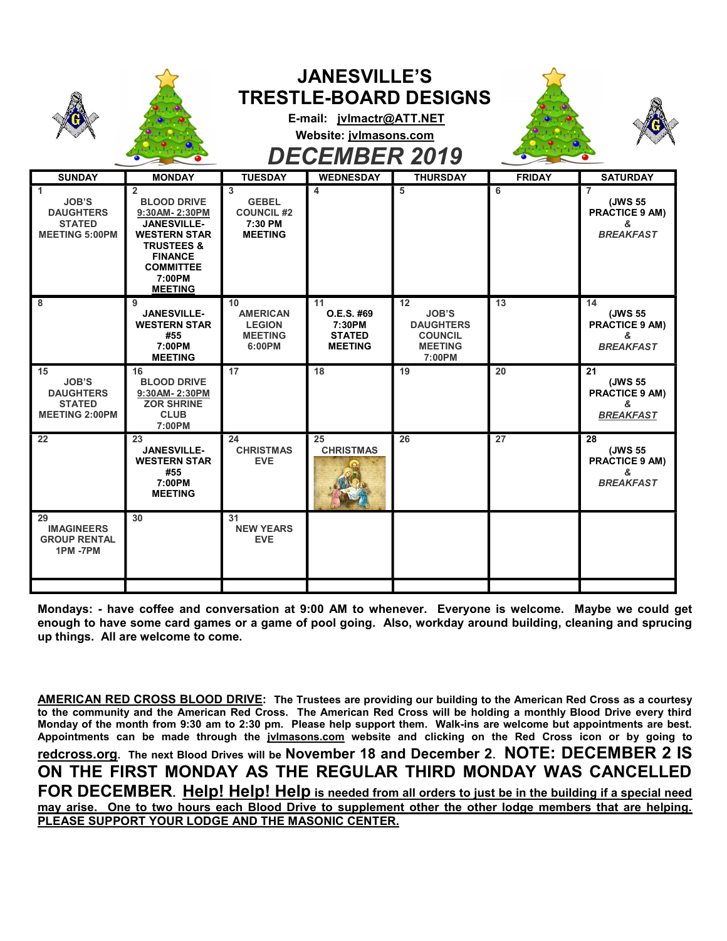|                                                                                  |                                                                                                                                                                                               |                                                                     | <b>JANESVILLE'S</b><br>E-mail: jvlmactr@ATT.NET<br>Website: jvlmasons.com<br><b>DECEMBER 2019</b> | <b>TRESTLE-BOARD DESIGNS</b>                                                         |               |                                                                             |
|----------------------------------------------------------------------------------|-----------------------------------------------------------------------------------------------------------------------------------------------------------------------------------------------|---------------------------------------------------------------------|---------------------------------------------------------------------------------------------------|--------------------------------------------------------------------------------------|---------------|-----------------------------------------------------------------------------|
| <b>SUNDAY</b>                                                                    | <b>MONDAY</b>                                                                                                                                                                                 | <b>TUESDAY</b>                                                      | <b>WEDNESDAY</b>                                                                                  | <b>THURSDAY</b>                                                                      | <b>FRIDAY</b> | <b>SATURDAY</b>                                                             |
| 1<br><b>JOB'S</b><br><b>DAUGHTERS</b><br><b>STATED</b><br><b>MEETING 5:00PM</b>  | $\overline{2}$<br><b>BLOOD DRIVE</b><br>9:30AM-2:30PM<br><b>JANESVILLE-</b><br><b>WESTERN STAR</b><br><b>TRUSTEES &amp;</b><br><b>FINANCE</b><br><b>COMMITTEE</b><br>7:00PM<br><b>MEETING</b> | 3<br><b>GEBEL</b><br><b>COUNCIL #2</b><br>7:30 PM<br><b>MEETING</b> | 4                                                                                                 | 5                                                                                    | 6             | $\overline{7}$<br>(JWS 55<br><b>PRACTICE 9 AM)</b><br>&<br><b>BREAKFAST</b> |
| 8                                                                                | 9<br><b>JANESVILLE-</b><br><b>WESTERN STAR</b><br>#55<br>7:00PM<br><b>MEETING</b>                                                                                                             | 10<br><b>AMERICAN</b><br><b>LEGION</b><br><b>MEETING</b><br>6:00PM  | 11<br>O.E.S. #69<br>7:30PM<br><b>STATED</b><br><b>MEETING</b>                                     | 12<br><b>JOB'S</b><br><b>DAUGHTERS</b><br><b>COUNCIL</b><br><b>MEETING</b><br>7:00PM | 13            | 14<br>(JWS 55<br><b>PRACTICE 9 AM)</b><br>&<br><b>BREAKFAST</b>             |
| 15<br><b>JOB'S</b><br><b>DAUGHTERS</b><br><b>STATED</b><br><b>MEETING 2:00PM</b> | 16<br><b>BLOOD DRIVE</b><br>9:30AM-2:30PM<br><b>ZOR SHRINE</b><br><b>CLUB</b><br>7:00PM                                                                                                       | 17                                                                  | 18                                                                                                | 19                                                                                   | 20            | 21<br>(JWS 55<br><b>PRACTICE 9 AM)</b><br>&<br><b>BREAKFAST</b>             |
| 22                                                                               | 23<br><b>JANESVILLE-</b><br><b>WESTERN STAR</b><br>#55<br>7:00PM<br><b>MEETING</b>                                                                                                            | 24<br><b>CHRISTMAS</b><br>EVE.                                      | 25<br><b>CHRISTMAS</b>                                                                            | 26                                                                                   | 27            | 28<br>(JWS 55<br><b>PRACTICE 9 AM)</b><br>&.<br><b>BREAKFAST</b>            |
| 29<br><b>IMAGINEERS</b><br><b>GROUP RENTAL</b><br>1PM-7PM                        | 30                                                                                                                                                                                            | 31<br><b>NEW YEARS</b><br>EVE.                                      |                                                                                                   |                                                                                      |               |                                                                             |
|                                                                                  |                                                                                                                                                                                               |                                                                     |                                                                                                   |                                                                                      |               |                                                                             |

Mondays: - have coffee and conversation at 9:00 AM to whenever. Everyone is welcome. Maybe we could get enough to have some card games or a game of pool going. Also, workday around building, cleaning and sprucing up things. All are welcome to come.

AMERICAN RED CROSS BLOOD DRIVE: The Trustees are providing our building to the American Red Cross as a courtesy to the community and the American Red Cross. The American Red Cross will be holding a monthly Blood Drive every third Monday of the month from 9:30 am to 2:30 pm. Please help support them. Walk-ins are welcome but appointments are best. Appointments can be made through the jvlmasons.com website and clicking on the Red Cross icon or by going to redcross.org. The next Blood Drives will be November 18 and December 2. NOTE: DECEMBER 2 IS ON THE FIRST MONDAY AS THE REGULAR THIRD MONDAY WAS CANCELLED FOR DECEMBER. Help! Help! Help is needed from all orders to just be in the building if a special need may arise. One to two hours each Blood Drive to supplement other the other lodge members that are helping. PLEASE SUPPORT YOUR LODGE AND THE MASONIC CENTER.